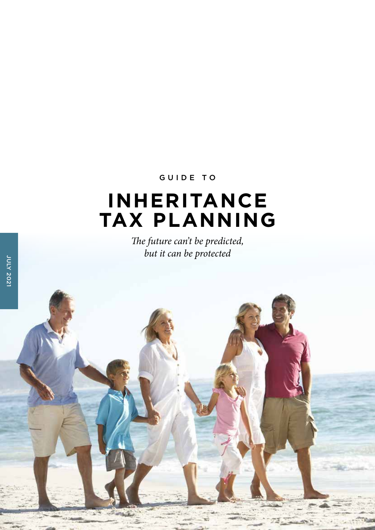# GUIDE TO

# **INHERITANCE TAX PLANNING**

*The future can't be predicted, but it can be protected*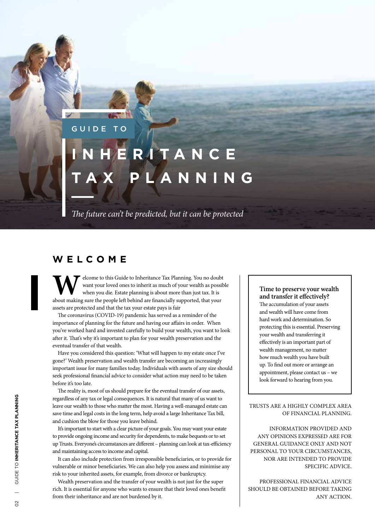# GUIDE

# **I AN CE PLA**

*The future can't be predicted, but it can be protected*

# **WELCOME**

**W**elcome to this Guide to Inheritance Tax Planning. You no doubt want your loved ones to inherit as much of your wealth as possible when you die. Estate planning is about more than just tax. It is about making sure the people left behind are financially supported, that your assets are protected and that the tax your estate pays is fair

The coronavirus (COVID-19) pandemic has served as a reminder of the importance of planning for the future and having our affairs in order. When you've worked hard and invested carefully to build your wealth, you want to look after it. That's why it's important to plan for your wealth preservation and the eventual transfer of that wealth.

Have you considered this question: 'What will happen to my estate once I've gone?' Wealth preservation and wealth transfer are becoming an increasingly important issue for many families today. Individuals with assets of any size should seek professional financial advice to consider what action may need to be taken before it's too late.

The reality is, most of us should prepare for the eventual transfer of our assets, regardless of any tax or legal consequences. It is natural that many of us want to leave our wealth to those who matter the most. Having a well-managed estate can save time and legal costs in the long term, help avoid a large Inheritance Tax bill, and cushion the blow for those you leave behind.

It's important to start with a clear picture of your goals. You may want your estate to provide ongoing income and security for dependents, to make bequests or to set up Trusts. Everyone's circumstances are different – planning can look at tax-efficiency and maintaining access to income and capital.

It can also include protection from irresponsible beneficiaries, or to provide for vulnerable or minor beneficiaries. We can also help you assess and minimise any risk to your inherited assets, for example, from divorce or bankruptcy.

Wealth preservation and the transfer of your wealth is not just for the super rich. It is essential for anyone who wants to ensure that their loved ones benefit from their inheritance and are not burdened by it.

#### **Time to preserve your wealth and transfer it effectively?**

The accumulation of your assets and wealth will have come from hard work and determination. So protecting this is essential. Preserving your wealth and transferring it effectively is an important part of wealth management, no matter how much wealth you have built up. To find out more or arrange an appointment, please contact us – we look forward to hearing from you.

TRUSTS ARE A HIGHLY COMPLEX AREA OF FINANCIAL PLANNING.

INFORMATION PROVIDED AND ANY OPINIONS EXPRESSED ARE FOR GENERAL GUIDANCE ONLY AND NOT PERSONAL TO YOUR CIRCUMSTANCES, NOR ARE INTENDED TO PROVIDE SPECIFIC ADVICE.

PROFESSIONAL FINANCIAL ADVICE SHOULD BE OBTAINED BEFORE TAKING ANY ACTION.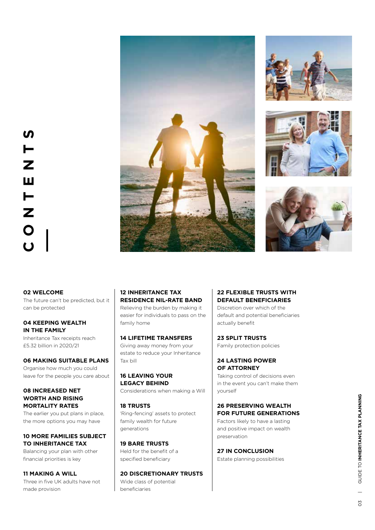







# **02 WELCOME**

The future can't be predicted, but it can be protected

# **04 KEEPING WEALTH IN THE FAMILY**

Inheritance Tax receipts reach £5.32 billion in 2020/21

#### **06 MAKING SUITABLE PLANS**

Organise how much you could leave for the people you care about

# **08 INCREASED NET WORTH AND RISING MORTALITY RATES**

The earlier you put plans in place. the more options you may have

# **10 MORE FAMILIES SUBJECT TO INHERITANCE TAX**

Balancing your plan with other financial priorities is key

**11 MAKING A WILL** Three in five UK adults have not made provision

# **12 INHERITANCE TAX RESIDENCE NIL-RATE BAND**

Relieving the burden by making it easier for individuals to pass on the family home

# **14 LIFETIME TRANSFERS**

Giving away money from your estate to reduce your Inheritance Tax bill

## **16 LEAVING YOUR LEGACY BEHIND** Considerations when making a Will

#### **18 TRUSTS** 'Ring-fencing' assets to protect

family wealth for future generations

**19 BARE TRUSTS** Held for the benefit of a specified beneficiary

# **20 DISCRETIONARY TRUSTS** Wide class of potential

beneficiaries

# **22 FLEXIBLE TRUSTS WITH DEFAULT BENEFICIARIES**

Discretion over which of the default and potential beneficiaries actually benefit

**23 SPLIT TRUSTS** Family protection policies

# **24 LASTING POWER OF ATTORNEY**

Taking control of decisions even in the event you can't make them yourself

# **26 PRESERVING WEALTH FOR FUTURE GENERATIONS**

Factors likely to have a lasting and positive impact on wealth preservation

# **27 IN CONCLUSION**

Estate planning possibilities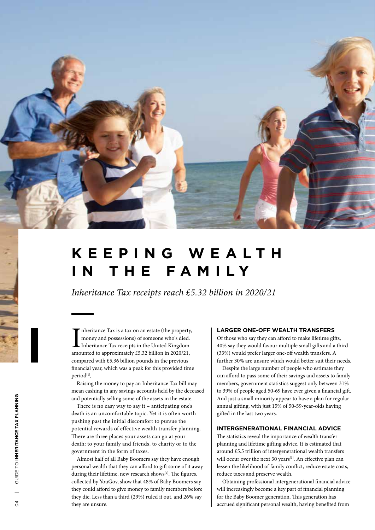

# **K E E P I N G W E A L T H IN THE FAMILY**

*Inheritance Tax receipts reach £5.32 billion in 2020/21*

Im heritance Tax is a tax on an estate (the property money and possessions) of someone who's died.<br>Inheritance Tax receipts in the United Kingdom amounted to approximately £5.32 billion in 2020/21, nheritance Tax is a tax on an estate (the property, money and possessions) of someone who's died. Inheritance Tax receipts in the United Kingdom compared with £5.36 billion pounds in the previous financial year, which was a peak for this provided time period<sup>[1]</sup>.

Raising the money to pay an Inheritance Tax bill may mean cashing in any savings accounts held by the deceased and potentially selling some of the assets in the estate.

There is no easy way to say it – anticipating one's death is an uncomfortable topic. Yet it is often worth pushing past the initial discomfort to pursue the potential rewards of effective wealth transfer planning. There are three places your assets can go at your death: to your family and friends, to charity or to the government in the form of taxes.

Almost half of all Baby Boomers say they have enough personal wealth that they can afford to gift some of it away during their lifetime, new research shows<sup>[2]</sup>. The figures, collected by YouGov, show that 48% of Baby Boomers say they could afford to give money to family members before they die. Less than a third (29%) ruled it out, and 26% say they are unsure.

#### **LARGER ONE-OFF WEALTH TRANSFERS**

Of those who say they can afford to make lifetime gifts, 40% say they would favour multiple small gifts and a third (33%) would prefer larger one-off wealth transfers. A further 30% are unsure which would better suit their needs.

Despite the large number of people who estimate they can afford to pass some of their savings and assets to family members, government statistics suggest only between 31% to 39% of people aged 50-69 have ever given a financial gift. And just a small minority appear to have a plan for regular annual gifting, with just 15% of 50-59-year-olds having gifted in the last two years.

# **INTERGENERATIONAL FINANCIAL ADVICE**

The statistics reveal the importance of wealth transfer planning and lifetime gifting advice. It is estimated that around £5.5 trillion of intergenerational wealth transfers will occur over the next 30 years<sup>[3]</sup>. An effective plan can lessen the likelihood of family conflict, reduce estate costs, reduce taxes and preserve wealth.

Obtaining professional intergenerational financial advice will increasingly become a key part of financial planning for the Baby Boomer generation. This generation has accrued significant personal wealth, having benefited from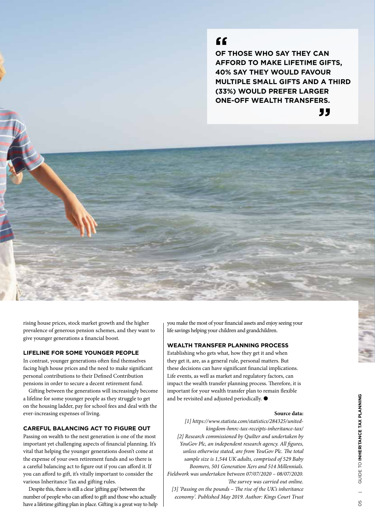# **"**

**OF THOSE WHO SAY THEY CAN AFFORD TO MAKE LIFETIME GIFTS, 40% SAY THEY WOULD FAVOUR MULTIPLE SMALL GIFTS AND A THIRD (33%) WOULD PREFER LARGER ONE-OFF WEALTH TRANSFERS.**

**"**



# **LIFELINE FOR SOME YOUNGER PEOPLE**

In contrast, younger generations often find themselves facing high house prices and the need to make significant personal contributions to their Defined Contribution pensions in order to secure a decent retirement fund.

Gifting between the generations will increasingly become a lifeline for some younger people as they struggle to get on the housing ladder, pay for school fees and deal with the ever-increasing expenses of living.

# **CAREFUL BALANCING ACT TO FIGURE OUT**

Passing on wealth to the next generation is one of the most important yet challenging aspects of financial planning. It's vital that helping the younger generations doesn't come at the expense of your own retirement funds and so there is a careful balancing act to figure out if you can afford it. If you can afford to gift, it's vitally important to consider the various Inheritance Tax and gifting rules.

Despite this, there is still a clear 'gifting gap' between the number of people who can afford to gift and those who actually have a lifetime gifting plan in place. Gifting is a great way to help you make the most of your financial assets and enjoy seeing your life savings helping your children and grandchildren.

### **WEALTH TRANSFER PLANNING PROCESS**

Establishing who gets what, how they get it and when they get it, are, as a general rule, personal matters. But these decisions can have significant financial implications. Life events, as well as market and regulatory factors, can impact the wealth transfer planning process. Therefore, it is important for your wealth transfer plan to remain flexible and be revisited and adjusted periodically.  $\bullet$ 

#### **Source data:**

*[1] https://www.statista.com/statistics/284325/unitedkingdom-hmrc-tax-receipts-inheritance-tax/ [2] Research commissioned by Quilter and undertaken by YouGov Plc, an independent research agency. All figures, unless otherwise stated, are from YouGov Plc. The total sample size is 1,544 UK adults, comprised of 529 Baby Boomers, 501 Generation Xers and 514 Millennials. Fieldwork was undertaken between 07/07/2020 – 08/07/2020. The survey was carried out online. [3] 'Passing on the pounds – The rise of the UK's inheritance economy'. Published May 2019. Author: Kings Court Trust*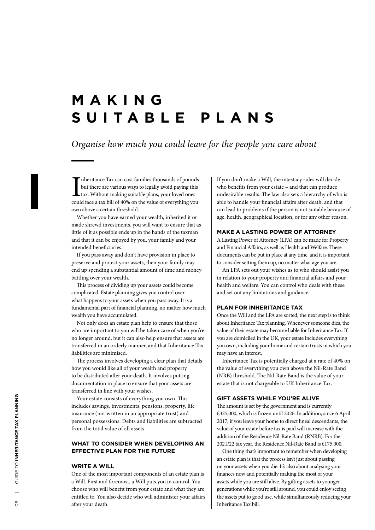# **M A K I N G SUITABLE PLANS**

# *Organise how much you could leave for the people you care about*

Im heritance Tax can cost families thousands of pounds<br>but there are various ways to legally avoid paying this<br>tax. Without making suitable plans, your loved ones<br>could face a tax bill of 40% on the value of everything you nheritance Tax can cost families thousands of pounds but there are various ways to legally avoid paying this tax. Without making suitable plans, your loved ones own above a certain threshold.

Whether you have earned your wealth, inherited it or made shrewd investments, you will want to ensure that as little of it as possible ends up in the hands of the taxman and that it can be enjoyed by you, your family and your intended beneficiaries.

If you pass away and don't have provision in place to preserve and protect your assets, then your family may end up spending a substantial amount of time and money battling over your wealth.

This process of dividing up your assets could become complicated. Estate planning gives you control over what happens to your assets when you pass away. It is a fundamental part of financial planning, no matter how much wealth you have accumulated.

Not only does an estate plan help to ensure that those who are important to you will be taken care of when you're no longer around, but it can also help ensure that assets are transferred in an orderly manner, and that Inheritance Tax liabilities are minimised.

The process involves developing a clear plan that details how you would like all of your wealth and property to be distributed after your death. It involves putting documentation in place to ensure that your assets are transferred in line with your wishes.

Your estate consists of everything you own. This includes savings, investments, pensions, property, life insurance (not written in an appropriate trust) and personal possessions. Debts and liabilities are subtracted from the total value of all assets.

# **WHAT TO CONSIDER WHEN DEVELOPING AN EFFECTIVE PLAN FOR THE FUTURE**

# **WRITE A WILL**

One of the most important components of an estate plan is a Will. First and foremost, a Will puts you in control. You choose who will benefit from your estate and what they are entitled to. You also decide who will administer your affairs after your death.

If you don't make a Will, the intestacy rules will decide who benefits from your estate – and that can produce undesirable results. The law also sets a hierarchy of who is able to handle your financial affairs after death, and that can lead to problems if the person is not suitable because of age, health, geographical location, or for any other reason.

#### **MAKE A LASTING POWER OF ATTORNEY**

A Lasting Power of Attorney (LPA) can be made for Property and Financial Affairs, as well as Health and Welfare. These documents can be put in place at any time, and it is important to consider setting them up, no matter what age you are.

An LPA sets out your wishes as to who should assist you in relation to your property and financial affairs and your health and welfare. You can control who deals with these and set out any limitations and guidance.

## **PLAN FOR INHERITANCE TAX**

Once the Will and the LPA are sorted, the next step is to think about Inheritance Tax planning. Whenever someone dies, the value of their estate may become liable for Inheritance Tax. If you are domiciled in the UK, your estate includes everything you own, including your home and certain trusts in which you may have an interest.

Inheritance Tax is potentially charged at a rate of 40% on the value of everything you own above the Nil-Rate Band (NRB) threshold. The Nil-Rate Band is the value of your estate that is not chargeable to UK Inheritance Tax.

#### **GIFT ASSETS WHILE YOU'RE ALIVE**

The amount is set by the government and is currently £325,000, which is frozen until 2026. In addition, since 6 April 2017, if you leave your home to direct lineal descendants, the value of your estate before tax is paid will increase with the addition of the Residence Nil-Rate Band (RNRB). For the 2021/22 tax year, the Residence Nil-Rate Band is £175,000.

One thing that's important to remember when developing an estate plan is that the process isn't just about passing on your assets when you die. It's also about analysing your finances now and potentially making the most of your assets while you are still alive. By gifting assets to younger generations while you're still around, you could enjoy seeing the assets put to good use, while simultaneously reducing your Inheritance Tax bill.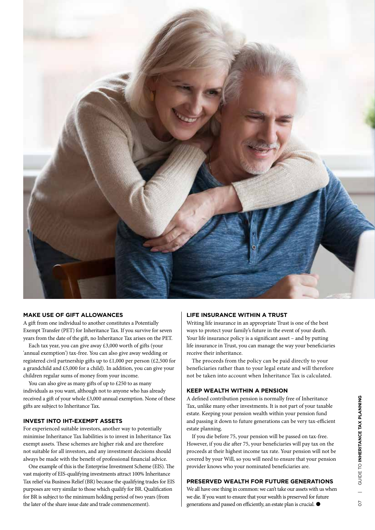

# **MAKE USE OF GIFT ALLOWANCES**

A gift from one individual to another constitutes a Potentially Exempt Transfer (PET) for Inheritance Tax. If you survive for seven years from the date of the gift, no Inheritance Tax arises on the PET.

Each tax year, you can give away £3,000 worth of gifts (your 'annual exemption') tax-free. You can also give away wedding or registered civil partnership gifts up to £1,000 per person (£2,500 for a grandchild and £5,000 for a child). In addition, you can give your children regular sums of money from your income.

You can also give as many gifts of up to £250 to as many individuals as you want, although not to anyone who has already received a gift of your whole £3,000 annual exemption. None of these gifts are subject to Inheritance Tax.

# **INVEST INTO IHT-EXEMPT ASSETS**

For experienced suitable investors, another way to potentially minimise Inheritance Tax liabilities is to invest in Inheritance Tax exempt assets. These schemes are higher risk and are therefore not suitable for all investors, and any investment decisions should always be made with the benefit of professional financial advice.

One example of this is the Enterprise Investment Scheme (EIS). The vast majority of EIS-qualifying investments attract 100% Inheritance Tax relief via Business Relief (BR) because the qualifying trades for EIS purposes are very similar to those which qualify for BR. Qualification for BR is subject to the minimum holding period of two years (from the later of the share issue date and trade commencement).

# **LIFE INSURANCE WITHIN A TRUST**

Writing life insurance in an appropriate Trust is one of the best ways to protect your family's future in the event of your death. Your life insurance policy is a significant asset – and by putting life insurance in Trust, you can manage the way your beneficiaries receive their inheritance.

The proceeds from the policy can be paid directly to your beneficiaries rather than to your legal estate and will therefore not be taken into account when Inheritance Tax is calculated.

# **KEEP WEALTH WITHIN A PENSION**

A defined contribution pension is normally free of Inheritance Tax, unlike many other investments. It is not part of your taxable estate. Keeping your pension wealth within your pension fund and passing it down to future generations can be very tax-efficient estate planning.

If you die before 75, your pension will be passed on tax-free. However, if you die after 75, your beneficiaries will pay tax on the proceeds at their highest income tax rate. Your pension will not be covered by your Will, so you will need to ensure that your pension provider knows who your nominated beneficiaries are.

# **PRESERVED WEALTH FOR FUTURE GENERATIONS**

We all have one thing in common: we can't take our assets with us when we die. If you want to ensure that your wealth is preserved for future generations and passed on efficiently, an estate plan is crucial.  $\bullet$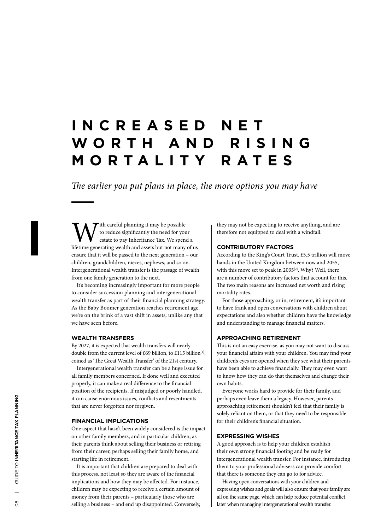# **I N C R E A S E D N E T W O R T H A N D R I S I N G MORTALITY RATES**

*The earlier you put plans in place, the more options you may have*

 $\mathcal T$ ith careful planning it may be possible to reduce significantly the need for your estate to pay Inheritance Tax. We spend a lifetime generating wealth and assets but not many of us ensure that it will be passed to the next generation – our children, grandchildren, nieces, nephews, and so on. Intergenerational wealth transfer is the passage of wealth from one family generation to the next.

It's becoming increasingly important for more people to consider succession planning and intergenerational wealth transfer as part of their financial planning strategy. As the Baby Boomer generation reaches retirement age, we're on the brink of a vast shift in assets, unlike any that we have seen before.

### **WEALTH TRANSFERS**

By 2027, it is expected that wealth transfers will nearly double from the current level of £69 billion, to £115 billion<sup>[1]</sup>, coined as 'The Great Wealth Transfer' of the 21st century.

Intergenerational wealth transfer can be a huge issue for all family members concerned. If done well and executed properly, it can make a real difference to the financial position of the recipients. If misjudged or poorly handled, it can cause enormous issues, conflicts and resentments that are never forgotten nor forgiven.

#### **FINANCIAL IMPLICATIONS**

One aspect that hasn't been widely considered is the impact on other family members, and in particular children, as their parents think about selling their business or retiring from their career, perhaps selling their family home, and starting life in retirement.

It is important that children are prepared to deal with this process, not least so they are aware of the financial implications and how they may be affected. For instance, children may be expecting to receive a certain amount of money from their parents – particularly those who are selling a business – and end up disappointed. Conversely,

they may not be expecting to receive anything, and are therefore not equipped to deal with a windfall.

#### **CONTRIBUTORY FACTORS**

According to the King's Court Trust, £5.5 trillion will move hands in the United Kingdom between now and 2055, with this move set to peak in 2035<sup>[2]</sup>. Why? Well, there are a number of contributory factors that account for this. The two main reasons are increased net worth and rising mortality rates.

For those approaching, or in, retirement, it's important to have frank and open conversations with children about expectations and also whether children have the knowledge and understanding to manage financial matters.

### **APPROACHING RETIREMENT**

This is not an easy exercise, as you may not want to discuss your financial affairs with your children. You may find your children's eyes are opened when they see what their parents have been able to achieve financially. They may even want to know how they can do that themselves and change their own habits.

Everyone works hard to provide for their family, and perhaps even leave them a legacy. However, parents approaching retirement shouldn't feel that their family is solely reliant on them, or that they need to be responsible for their children's financial situation.

## **EXPRESSING WISHES**

A good approach is to help your children establish their own strong financial footing and be ready for intergenerational wealth transfer. For instance, introducing them to your professional advisers can provide comfort that there is someone they can go to for advice.

Having open conversations with your children and expressing wishes and goals will also ensure that your family are all on the same page, which can help reduce potential conflict later when managing intergenerational wealth transfer.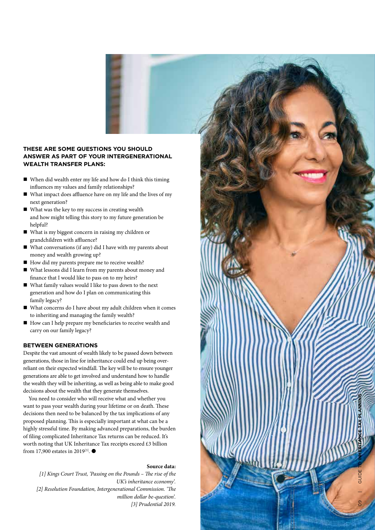

- $\blacksquare$  When did wealth enter my life and how do I think this timing influences my values and family relationships?
- $\blacksquare$  What impact does affluence have on my life and the lives of my next generation?
- $\blacksquare$  What was the key to my success in creating wealth and how might telling this story to my future generation be helpful?
- What is my biggest concern in raising my children or grandchildren with affluence?
- $\blacksquare$  What conversations (if any) did I have with my parents about money and wealth growing up?
- How did my parents prepare me to receive wealth?
- What lessons did I learn from my parents about money and finance that I would like to pass on to my heirs?
- n What family values would I like to pass down to the next generation and how do I plan on communicating this family legacy?
- What concerns do I have about my adult children when it comes to inheriting and managing the family wealth?
- How can I help prepare my beneficiaries to receive wealth and carry on our family legacy?

### **BETWEEN GENERATIONS**

Despite the vast amount of wealth likely to be passed down between generations, those in line for inheritance could end up being overreliant on their expected windfall. The key will be to ensure younger generations are able to get involved and understand how to handle the wealth they will be inheriting, as well as being able to make good decisions about the wealth that they generate themselves.

You need to consider who will receive what and whether you want to pass your wealth during your lifetime or on death. These decisions then need to be balanced by the tax implications of any proposed planning. This is especially important at what can be a highly stressful time. By making advanced preparations, the burden of filing complicated Inheritance Tax returns can be reduced. It's worth noting that UK Inheritance Tax receipts exceed £3 billion from 17,900 estates in 2019<sup>[3]</sup>.  $\bullet$ 

### **Source data:**

*[1] Kings Court Trust, 'Passing on the Pounds – The rise of the UK's inheritance economy'. [2] Resolution Foundation, Intergenerational Commission. 'The million dollar be-question'. [3] Prudential 2019.*

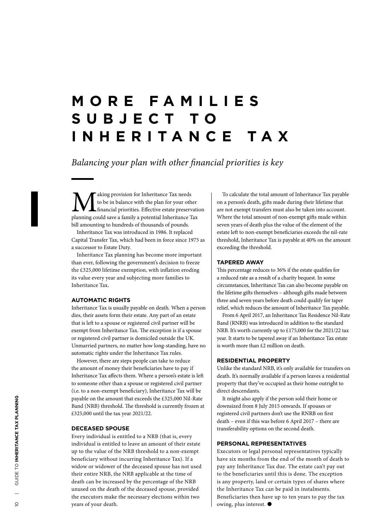# **M O R E F A M I L I E S S U B J E C T T O INHERITANCE TAX**

*Balancing your plan with other financial priorities is key*

**M** aking provision for Inheritance Tax needs<br>to be in balance with the plan for your other<br>planning could save a family a potential Inheritance Tax to be in balance with the plan for your other financial priorities. Effective estate preservation bill amounting to hundreds of thousands of pounds.

Inheritance Tax was introduced in 1986. It replaced Capital Transfer Tax, which had been in force since 1975 as a successor to Estate Duty.

Inheritance Tax planning has become more important than ever, following the government's decision to freeze the £325,000 lifetime exemption, with inflation eroding its value every year and subjecting more families to Inheritance Tax.

# **AUTOMATIC RIGHTS**

Inheritance Tax is usually payable on death. When a person dies, their assets form their estate. Any part of an estate that is left to a spouse or registered civil partner will be exempt from Inheritance Tax. The exception is if a spouse or registered civil partner is domiciled outside the UK. Unmarried partners, no matter how long-standing, have no automatic rights under the Inheritance Tax rules.

However, there are steps people can take to reduce the amount of money their beneficiaries have to pay if Inheritance Tax affects them. Where a person's estate is left to someone other than a spouse or registered civil partner (i.e. to a non-exempt beneficiary), Inheritance Tax will be payable on the amount that exceeds the £325,000 Nil-Rate Band (NRB) threshold. The threshold is currently frozen at £325,000 until the tax year 2021/22.

### **DECEASED SPOUSE**

Every individual is entitled to a NRB (that is, every individual is entitled to leave an amount of their estate up to the value of the NRB threshold to a non-exempt beneficiary without incurring Inheritance Tax). If a widow or widower of the deceased spouse has not used their entire NRB, the NRB applicable at the time of death can be increased by the percentage of the NRB unused on the death of the deceased spouse, provided the executors make the necessary elections within two years of your death.

To calculate the total amount of Inheritance Tax payable on a person's death, gifts made during their lifetime that are not exempt transfers must also be taken into account. Where the total amount of non-exempt gifts made within seven years of death plus the value of the element of the estate left to non-exempt beneficiaries exceeds the nil-rate threshold, Inheritance Tax is payable at 40% on the amount exceeding the threshold.

# **TAPERED AWAY**

This percentage reduces to 36% if the estate qualifies for a reduced rate as a result of a charity bequest. In some circumstances, Inheritance Tax can also become payable on the lifetime gifts themselves – although gifts made between three and seven years before death could qualify for taper relief, which reduces the amount of Inheritance Tax payable.

From 6 April 2017, an Inheritance Tax Residence Nil-Rate Band (RNRB) was introduced in addition to the standard NRB. It's worth currently up to £175,000 for the 2021/22 tax year. It starts to be tapered away if an Inheritance Tax estate is worth more than £2 million on death.

#### **RESIDENTIAL PROPERTY**

Unlike the standard NRB, it's only available for transfers on death. It's normally available if a person leaves a residential property that they've occupied as their home outright to direct descendants.

It might also apply if the person sold their home or downsized from 8 July 2015 onwards. If spouses or registered civil partners don't use the RNRB on first death – even if this was before 6 April 2017 – there are transferability options on the second death.

# **PERSONAL REPRESENTATIVES**

Executors or legal personal representatives typically have six months from the end of the month of death to pay any Inheritance Tax due. The estate can't pay out to the beneficiaries until this is done. The exception is any property, land or certain types of shares where the Inheritance Tax can be paid in instalments. Beneficiaries then have up to ten years to pay the tax owing, plus interest.  $\bullet$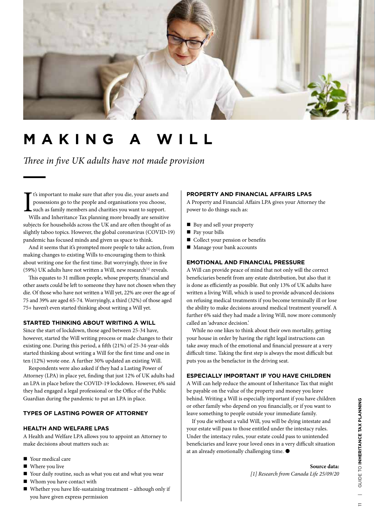

# **MAKING A WILL**

*Three in five UK adults have not made provision*

I<sub>w</sub> t's important to make sure that after you die, your assets and possessions go to the people and organisations you choose, such as family members and charities you want to support. Wills and Inheritance Tax planning more broadly are sensitive subjects for households across the UK and are often thought of as slightly taboo topics. However, the global coronavirus (COVID-19) pandemic has focused minds and given us space to think.

And it seems that it's prompted more people to take action, from making changes to existing Wills to encouraging them to think about writing one for the first time. But worryingly, three in five (59%) UK adults have not written a Will, new research $[1]$  reveals.

This equates to 31 million people, whose property, financial and other assets could be left to someone they have not chosen when they die. Of those who have not written a Will yet, 22% are over the age of 75 and 39% are aged 65-74. Worryingly, a third (32%) of those aged 75+ haven't even started thinking about writing a Will yet.

# **STARTED THINKING ABOUT WRITING A WILL**

Since the start of lockdown, those aged between 25-34 have, however, started the Will writing process or made changes to their existing one. During this period, a fifth (21%) of 25-34-year-olds started thinking about writing a Will for the first time and one in ten (12%) wrote one. A further 30% updated an existing Will.

Respondents were also asked if they had a Lasting Power of Attorney (LPA) in place yet, finding that just 12% of UK adults had an LPA in place before the COVID-19 lockdown. However, 6% said they had engaged a legal professional or the Office of the Public Guardian during the pandemic to put an LPA in place.

# **TYPES OF LASTING POWER OF ATTORNEY**

# **HEALTH AND WELFARE LPAS**

A Health and Welfare LPA allows you to appoint an Attorney to make decisions about matters such as:

- Your medical care
- $\blacksquare$  Where you live
- Your daily routine, such as what you eat and what you wear
- Whom you have contact with
- $\blacksquare$  Whether you have life-sustaining treatment although only if you have given express permission

#### **PROPERTY AND FINANCIAL AFFAIRS LPAS**

A Property and Financial Affairs LPA gives your Attorney the power to do things such as:

- Buy and sell your property
- $\blacksquare$  Pay your bills
- Collect your pension or benefits
- $\blacksquare$  Manage your bank accounts

# **EMOTIONAL AND FINANCIAL PRESSURE**

A Will can provide peace of mind that not only will the correct beneficiaries benefit from any estate distribution, but also that it is done as efficiently as possible. But only 13% of UK adults have written a living Will, which is used to provide advanced decisions on refusing medical treatments if you become terminally ill or lose the ability to make decisions around medical treatment yourself. A further 6% said they had made a living Will, now more commonly called an 'advance decision.'

While no one likes to think about their own mortality, getting your house in order by having the right legal instructions can take away much of the emotional and financial pressure at a very difficult time. Taking the first step is always the most difficult but puts you as the benefactor in the driving seat.

### **ESPECIALLY IMPORTANT IF YOU HAVE CHILDREN**

A Will can help reduce the amount of Inheritance Tax that might be payable on the value of the property and money you leave behind. Writing a Will is especially important if you have children or other family who depend on you financially, or if you want to leave something to people outside your immediate family.

If you die without a valid Will, you will be dying intestate and your estate will pass to those entitled under the intestacy rules. Under the intestacy rules, your estate could pass to unintended beneficiaries and leave your loved ones in a very difficult situation at an already emotionally challenging time.  $\bullet$ 

```
Source data: 
[1] Research from Canada Life 25/09/20
```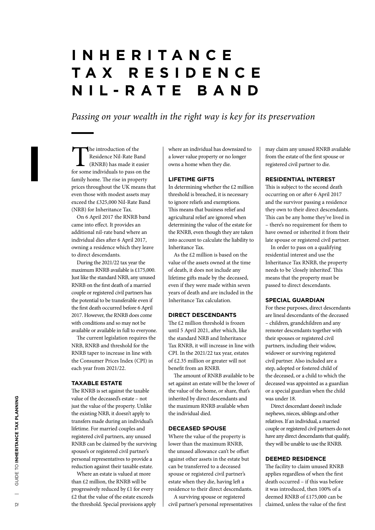# **I N H E R I T A N C E T A X R E S I D E N C E NIL-RATE BAND**

*Passing on your wealth in the right way is key for its preservation*

The introduction of the<br>Residence Nil-Rate Ba<br>(RNRB) has made it easy<br>for some individuals to pass or Residence Nil-Rate Band (RNRB) has made it easier for some individuals to pass on the family home. The rise in property prices throughout the UK means that even those with modest assets may exceed the £325,000 Nil-Rate Band (NRB) for Inheritance Tax.

On 6 April 2017 the RNRB band came into effect. It provides an additional nil-rate band where an individual dies after 6 April 2017, owning a residence which they leave to direct descendants.

During the 2021/22 tax year the maximum RNRB available is £175,000. Just like the standard NRB, any unused RNRB on the first death of a married couple or registered civil partners has the potential to be transferable even if the first death occurred before 6 April 2017. However, the RNRB does come with conditions and so may not be available or available in full to everyone.

The current legislation requires the NRB, RNRB and threshold for the RNRB taper to increase in line with the Consumer Prices Index (CPI) in each year from 2021/22.

### **TAXABLE ESTATE**

The RNRB is set against the taxable value of the deceased's estate – not just the value of the property. Unlike the existing NRB, it doesn't apply to transfers made during an individual's lifetime. For married couples and registered civil partners, any unused RNRB can be claimed by the surviving spouse's or registered civil partner's personal representatives to provide a reduction against their taxable estate.

Where an estate is valued at more than £2 million, the RNRB will be progressively reduced by £1 for every £2 that the value of the estate exceeds the threshold. Special provisions apply

where an individual has downsized to a lower value property or no longer owns a home when they die.

# **LIFETIME GIFTS**

In determining whether the £2 million threshold is breached, it is necessary to ignore reliefs and exemptions. This means that business relief and agricultural relief are ignored when determining the value of the estate for the RNRB, even though they are taken into account to calculate the liability to Inheritance Tax.

As the £2 million is based on the value of the assets owned at the time of death, it does not include any lifetime gifts made by the deceased, even if they were made within seven years of death and are included in the Inheritance Tax calculation.

## **DIRECT DESCENDANTS**

The £2 million threshold is frozen until 5 April 2021, after which, like the standard NRB and Inheritance Tax RNRB, it will increase in line with CPI. In the 2021/22 tax year, estates of £2.35 million or greater will not benefit from an RNRB.

The amount of RNRB available to be set against an estate will be the lower of the value of the home, or share, that's inherited by direct descendants and the maximum RNRB available when the individual died.

# **DECEASED SPOUSE**

Where the value of the property is lower than the maximum RNRB, the unused allowance can't be offset against other assets in the estate but can be transferred to a deceased spouse or registered civil partner's estate when they die, having left a residence to their direct descendants.

A surviving spouse or registered civil partner's personal representatives may claim any unused RNRB available from the estate of the first spouse or registered civil partner to die.

#### **RESIDENTIAL INTEREST**

This is subject to the second death occurring on or after 6 April 2017 and the survivor passing a residence they own to their direct descendants. This can be any home they've lived in – there's no requirement for them to have owned or inherited it from their late spouse or registered civil partner.

In order to pass on a qualifying residential interest and use the Inheritance Tax RNRB, the property needs to be 'closely inherited'. This means that the property must be passed to direct descendants.

#### **SPECIAL GUARDIAN**

For these purposes, direct descendants are lineal descendants of the deceased – children, grandchildren and any remoter descendants together with their spouses or registered civil partners, including their widow, widower or surviving registered civil partner. Also included are a step, adopted or fostered child of the deceased, or a child to which the deceased was appointed as a guardian or a special guardian when the child was under 18.

Direct descendant doesn't include nephews, nieces, siblings and other relatives. If an individual, a married couple or registered civil partners do not have any direct descendants that qualify, they will be unable to use the RNRB.

# **DEEMED RESIDENCE**

The facility to claim unused RNRB applies regardless of when the first death occurred – if this was before it was introduced, then 100% of a deemed RNRB of £175,000 can be claimed, unless the value of the first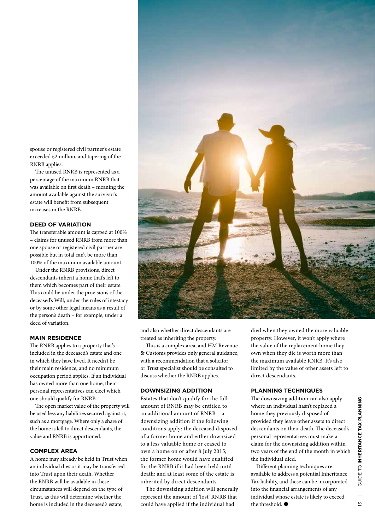spouse or registered civil partner's estate exceeded £2 million, and tapering of the RNRB applies.

The unused RNRB is represented as a percentage of the maximum RNRB that was available on first death – meaning the amount available against the survivor's estate will benefit from subsequent increases in the RNRB.

#### **DEED OF VARIATION**

The transferable amount is capped at 100% – claims for unused RNRB from more than one spouse or registered civil partner are possible but in total can't be more than 100% of the maximum available amount.

Under the RNRB provisions, direct descendants inherit a home that's left to them which becomes part of their estate. This could be under the provisions of the deceased's Will, under the rules of intestacy or by some other legal means as a result of the person's death – for example, under a deed of variation.

### **MAIN RESIDENCE**

The RNRB applies to a property that's included in the deceased's estate and one in which they have lived. It needn't be their main residence, and no minimum occupation period applies. If an individual has owned more than one home, their personal representatives can elect which one should qualify for RNRB.

The open market value of the property will be used less any liabilities secured against it, such as a mortgage. Where only a share of the home is left to direct descendants, the value and RNRB is apportioned.

#### **COMPLEX AREA**

A home may already be held in Trust when an individual dies or it may be transferred into Trust upon their death. Whether the RNRB will be available in these circumstances will depend on the type of Trust, as this will determine whether the home is included in the deceased's estate,



and also whether direct descendants are treated as inheriting the property.

This is a complex area, and HM Revenue & Customs provides only general guidance, with a recommendation that a solicitor or Trust specialist should be consulted to discuss whether the RNRB applies.

#### **DOWNSIZING ADDITION**

Estates that don't qualify for the full amount of RNRB may be entitled to an additional amount of RNRB – a downsizing addition if the following conditions apply: the deceased disposed of a former home and either downsized to a less valuable home or ceased to own a home on or after 8 July 2015; the former home would have qualified for the RNRB if it had been held until death; and at least some of the estate is inherited by direct descendants.

The downsizing addition will generally represent the amount of 'lost' RNRB that could have applied if the individual had

died when they owned the more valuable property. However, it won't apply where the value of the replacement home they own when they die is worth more than the maximum available RNRB. It's also limited by the value of other assets left to direct descendants.

# **PLANNING TECHNIQUES**

The downsizing addition can also apply where an individual hasn't replaced a home they previously disposed of – provided they leave other assets to direct descendants on their death. The deceased's personal representatives must make a claim for the downsizing addition within two years of the end of the month in which the individual died.

Different planning techniques are available to address a potential Inheritance Tax liability, and these can be incorporated into the financial arrangements of any individual whose estate is likely to exceed the threshold.  $\bullet$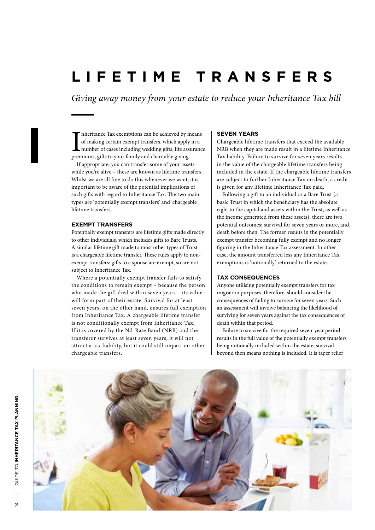# **LIFETIME TRANSFERS**

*Giving away money from your estate to reduce your Inheritance Tax bill*

Im heritance Tax exemptions can be achieved by n of making certain exempt transfers, which apply number of cases including wedding gifts, life ass premiums, gifts to your family and charitable giving. nheritance Tax exemptions can be achieved by means of making certain exempt transfers, which apply in a number of cases including wedding gifts, life assurance

If appropriate, you can transfer some of your assets while you're alive – these are known as lifetime transfers. Whilst we are all free to do this whenever we want, it is important to be aware of the potential implications of such gifts with regard to Inheritance Tax. The two main types are 'potentially exempt transfers' and 'chargeable lifetime transfers'.

#### **EXEMPT TRANSFERS**

Potentially exempt transfers are lifetime gifts made directly to other individuals, which includes gifts to Bare Trusts. A similar lifetime gift made to most other types of Trust is a chargeable lifetime transfer. These rules apply to nonexempt transfers: gifts to a spouse are exempt, so are not subject to Inheritance Tax.

Where a potentially exempt transfer fails to satisfy the conditions to remain exempt – because the person who made the gift died within seven years – its value will form part of their estate. Survival for at least seven years, on the other hand, ensures full exemption from Inheritance Tax. A chargeable lifetime transfer is not conditionally exempt from Inheritance Tax. If it is covered by the Nil-Rate Band (NRB) and the transferor survives at least seven years, it will not attract a tax liability, but it could still impact on other chargeable transfers.

### **SEVEN YEARS**

Chargeable lifetime transfers that exceed the available NRB when they are made result in a lifetime Inheritance Tax liability. Failure to survive for seven years results in the value of the chargeable lifetime transfers being included in the estate. If the chargeable lifetime transfers are subject to further Inheritance Tax on death, a credit is given for any lifetime Inheritance Tax paid.

Following a gift to an individual or a Bare Trust (a basic Trust in which the beneficiary has the absolute right to the capital and assets within the Trust, as well as the income generated from these assets), there are two potential outcomes: survival for seven years or more, and death before then. The former results in the potentially exempt transfer becoming fully exempt and no longer figuring in the Inheritance Tax assessment. In other case, the amount transferred less any Inheritance Tax exemptions is 'notionally' returned to the estate.

#### **TAX CONSEQUENCES**

Anyone utilising potentially exempt transfers for tax migration purposes, therefore, should consider the consequences of failing to survive for seven years. Such an assessment will involve balancing the likelihood of surviving for seven years against the tax consequences of death within that period.

Failure to survive for the required seven-year period results in the full value of the potentially exempt transfers being notionally included within the estate; survival beyond then means nothing is included. It is taper relief

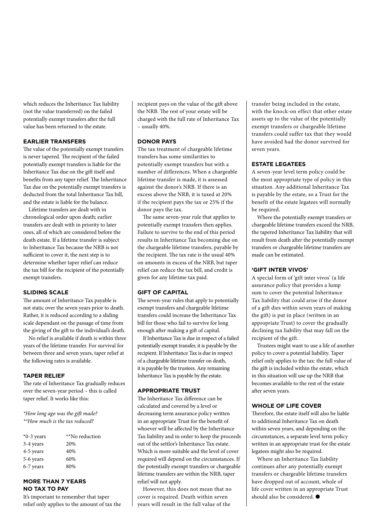which reduces the Inheritance Tax liability (not the value transferred) on the failed potentially exempt transfers after the full value has been returned to the estate.

# **EARLIER TRANSFERS**

The value of the potentially exempt transfers is never tapered. The recipient of the failed potentially exempt transfers is liable for the Inheritance Tax due on the gift itself and benefits from any taper relief. The Inheritance Tax due on the potentially exempt transfers is deducted from the total Inheritance Tax bill, and the estate is liable for the balance.

Lifetime transfers are dealt with in chronological order upon death; earlier transfers are dealt with in priority to later ones, all of which are considered before the death estate. If a lifetime transfer is subject to Inheritance Tax because the NRB is not sufficient to cover it, the next step is to determine whether taper relief can reduce the tax bill for the recipient of the potentially exempt transfers.

# **SLIDING SCALE**

The amount of Inheritance Tax payable is not static over the seven years prior to death. Rather, it is reduced according to a sliding scale dependant on the passage of time from the giving of the gift to the individual's death.

No relief is available if death is within three years of the lifetime transfer. For survival for between three and seven years, taper relief at the following rates is available.

### **TAPER RELIEF**

The rate of Inheritance Tax gradually reduces over the seven-year period – this is called taper relief. It works like this:

*\*How long ago was the gift made? \*\*How much is the tax reduced?*

| $*0-3$ years | **No reduction |
|--------------|----------------|
| 3-4 years    | 20%            |
| 4-5 years    | 40%            |
| 5-6 years    | 60%            |
| 6-7 years    | 80%            |

# **MORE THAN 7 YEARS NO TAX TO PAY**

It's important to remember that taper relief only applies to the amount of tax the recipient pays on the value of the gift above the NRB. The rest of your estate will be charged with the full rate of Inheritance Tax – usually 40%.

# **DONOR PAYS**

The tax treatment of chargeable lifetime transfers has some similarities to potentially exempt transfers but with a number of differences. When a chargeable lifetime transfer is made, it is assessed against the donor's NRB. If there is an excess above the NRB, it is taxed at 20% if the recipient pays the tax or 25% if the donor pays the tax.

The same seven-year rule that applies to potentially exempt transfers then applies. Failure to survive to the end of this period results in Inheritance Tax becoming due on the chargeable lifetime transfers, payable by the recipient. The tax rate is the usual 40% on amounts in excess of the NRB, but taper relief can reduce the tax bill, and credit is given for any lifetime tax paid.

### **GIFT OF CAPITAL**

The seven-year rules that apply to potentially exempt transfers and chargeable lifetime transfers could increase the Inheritance Tax bill for those who fail to survive for long enough after making a gift of capital.

If Inheritance Tax is due in respect of a failed potentially exempt transfer, it is payable by the recipient. If Inheritance Tax is due in respect of a chargeable lifetime transfer on death, it is payable by the trustees. Any remaining Inheritance Tax is payable by the estate.

# **APPROPRIATE TRUST**

The Inheritance Tax difference can be calculated and covered by a level or decreasing term assurance policy written in an appropriate Trust for the benefit of whoever will be affected by the Inheritance Tax liability and in order to keep the proceeds out of the settlor's Inheritance Tax estate. Which is more suitable and the level of cover required will depend on the circumstances. If the potentially exempt transfers or chargeable lifetime transfers are within the NRB, taper relief will not apply.

However, this does not mean that no cover is required. Death within seven years will result in the full value of the

transfer being included in the estate, with the knock-on effect that other estate assets up to the value of the potentially exempt transfers or chargeable lifetime transfers could suffer tax that they would have avoided had the donor survived for seven years.

# **ESTATE LEGATEES**

A seven-year level term policy could be the most appropriate type of policy in this situation. Any additional Inheritance Tax is payable by the estate, so a Trust for the benefit of the estate legatees will normally be required.

Where the potentially exempt transfers or chargeable lifetime transfers exceed the NRB, the tapered Inheritance Tax liability that will result from death after the potentially exempt transfers or chargeable lifetime transfers are made can be estimated.

## **'GIFT INTER VIVOS'**

A special form of 'gift inter vivos' (a life assurance policy that provides a lump sum to cover the potential Inheritance Tax liability that could arise if the donor of a gift dies within seven years of making the gift) is put in place (written in an appropriate Trust) to cover the gradually declining tax liability that may fall on the recipient of the gift.

Trustees might want to use a life of another policy to cover a potential liability. Taper relief only applies to the tax: the full value of the gift is included within the estate, which in this situation will use up the NRB that becomes available to the rest of the estate after seven years.

### **WHOLE OF LIFE COVER**

Therefore, the estate itself will also be liable to additional Inheritance Tax on death within seven years, and depending on the circumstances, a separate level term policy written in an appropriate trust for the estate legatees might also be required.

Where an Inheritance Tax liability continues after any potentially exempt transfers or chargeable lifetime transfers have dropped out of account, whole of life cover written in an appropriate Trust should also be considered.  $\bullet$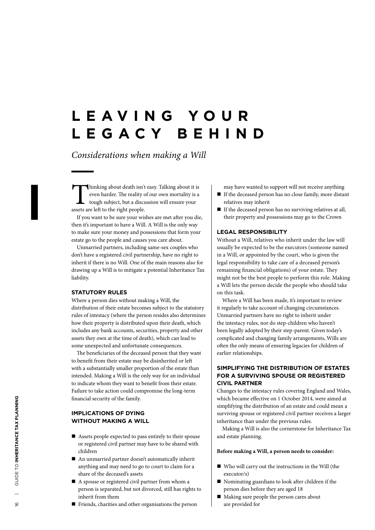# **L E A V I N G Y O U R LEGACY BEHIND**

*Considerations when making a Will*

Thinking about death isn't easy. Talking about it is even harder. The reality of our own mortality is a tough subject, but a discussion will ensure your assets are left to the right people.

If you want to be sure your wishes are met after you die, then it's important to have a Will. A Will is the only way to make sure your money and possessions that form your estate go to the people and causes you care about.

Unmarried partners, including same-sex couples who don't have a registered civil partnership, have no right to inherit if there is no Will. One of the main reasons also for drawing up a Will is to mitigate a potential Inheritance Tax liability.

### **STATUTORY RULES**

Where a person dies without making a Will, the distribution of their estate becomes subject to the statutory rules of intestacy (where the person resides also determines how their property is distributed upon their death, which includes any bank accounts, securities, property and other assets they own at the time of death), which can lead to some unexpected and unfortunate consequences.

The beneficiaries of the deceased person that they want to benefit from their estate may be disinherited or left with a substantially smaller proportion of the estate than intended. Making a Will is the only way for an individual to indicate whom they want to benefit from their estate. Failure to take action could compromise the long-term financial security of the family.

# **IMPLICATIONS OF DYING WITHOUT MAKING A WILL**

- $\blacksquare$  Assets people expected to pass entirely to their spouse or registered civil partner may have to be shared with children
- $\blacksquare$  An unmarried partner doesn't automatically inherit anything and may need to go to court to claim for a share of the deceased's assets
- $\blacksquare$  A spouse or registered civil partner from whom a person is separated, but not divorced, still has rights to inherit from them
- $\blacksquare$  Friends, charities and other organisations the person
- may have wanted to support will not receive anything
- n If the deceased person has no close family, more distant relatives may inherit
- $\blacksquare$  If the deceased person has no surviving relatives at all, their property and possessions may go to the Crown

# **LEGAL RESPONSIBILITY**

Without a Will, relatives who inherit under the law will usually be expected to be the executors (someone named in a Will, or appointed by the court, who is given the legal responsibility to take care of a deceased person's remaining financial obligations) of your estate. They might not be the best people to perform this role. Making a Will lets the person decide the people who should take on this task.

Where a Will has been made, it's important to review it regularly to take account of changing circumstances. Unmarried partners have no right to inherit under the intestacy rules, nor do step-children who haven't been legally adopted by their step-parent. Given today's complicated and changing family arrangements, Wills are often the only means of ensuring legacies for children of earlier relationships.

# **SIMPLIFYING THE DISTRIBUTION OF ESTATES FOR A SURVIVING SPOUSE OR REGISTERED CIVIL PARTNER**

Changes to the intestacy rules covering England and Wales, which became effective on 1 October 2014, were aimed at simplifying the distribution of an estate and could mean a surviving spouse or registered civil partner receives a larger inheritance than under the previous rules.

Making a Will is also the cornerstone for Inheritance Tax and estate planning.

#### **Before making a Will, a person needs to consider:**

- $\blacksquare$  Who will carry out the instructions in the Will (the executor/s)
- $\blacksquare$  Nominating guardians to look after children if the person dies before they are aged 18
- n Making sure people the person cares about are provided for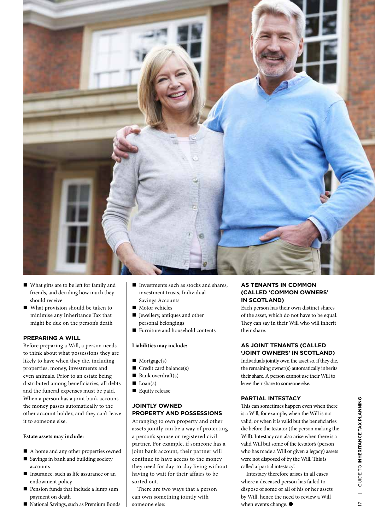

- n What gifts are to be left for family and friends, and deciding how much they should receive
- $\blacksquare$  What provision should be taken to minimise any Inheritance Tax that might be due on the person's death

# **PREPARING A WILL**

Before preparing a Will, a person needs to think about what possessions they are likely to have when they die, including properties, money, investments and even animals. Prior to an estate being distributed among beneficiaries, all debts and the funeral expenses must be paid. When a person has a joint bank account, the money passes automatically to the other account holder, and they can't leave it to someone else.

### **Estate assets may include:**

- A home and any other properties owned
- $\blacksquare$  Savings in bank and building society accounts
- Insurance, such as life assurance or an endowment policy
- n Pension funds that include a lump sum payment on death
- National Savings, such as Premium Bonds
- $\blacksquare$  Investments such as stocks and shares, investment trusts, Individual Savings Accounts
- $\blacksquare$  Motor vehicles
- $\blacksquare$  Jewellery, antiques and other personal belongings
- $\blacksquare$  Furniture and household contents

# **Liabilities may include:**

- $\blacksquare$  Mortgage(s)
- $\blacksquare$  Credit card balance(s)
- $\blacksquare$  Bank overdraft(s)
- $\Box$  Loan(s)
- $\blacksquare$  Equity release

# **JOINTLY OWNED PROPERTY AND POSSESSIONS**

Arranging to own property and other assets jointly can be a way of protecting a person's spouse or registered civil partner. For example, if someone has a joint bank account, their partner will continue to have access to the money they need for day-to-day living without having to wait for their affairs to be sorted out.

There are two ways that a person can own something jointly with someone else:

# **AS TENANTS IN COMMON (CALLED 'COMMON OWNERS' IN SCOTLAND)**

Each person has their own distinct shares of the asset, which do not have to be equal. They can say in their Will who will inherit their share.

# **AS JOINT TENANTS (CALLED 'JOINT OWNERS' IN SCOTLAND)**

Individuals jointly own the asset so, if they die, the remaining owner(s) automatically inherits their share. A person cannot use their Will to leave their share to someone else.

# **PARTIAL INTESTACY**

This can sometimes happen even when there is a Will, for example, when the Will is not valid, or when it is valid but the beneficiaries die before the testator (the person making the Will). Intestacy can also arise when there is a valid Will but some of the testator's (person who has made a Will or given a legacy) assets were not disposed of by the Will. This is called a 'partial intestacy'.

Intestacy therefore arises in all cases where a deceased person has failed to dispose of some or all of his or her assets by Will, hence the need to review a Will when events change.  $\bullet$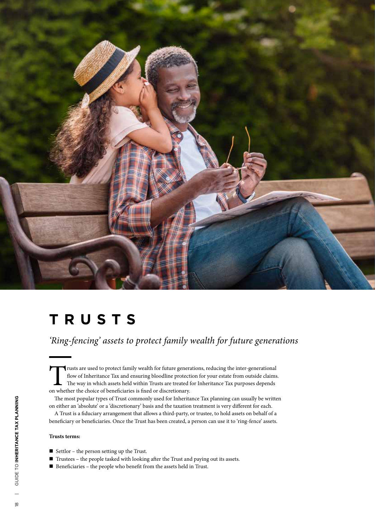

# **TRUSTS**

*'Ring-fencing' assets to protect family wealth for future generations*

Trusts are used to protect family wealth for future generations, reducing the inter-generational flow of Inheritance Tax and ensuring bloodline protection for your estate from outside claims.  $\mathsf{\mathsf{L}}$  The way in which assets held within Trusts are treated for Inheritance Tax purposes depends on whether the choice of beneficiaries is fixed or discretionary.

The most popular types of Trust commonly used for Inheritance Tax planning can usually be written on either an 'absolute' or a 'discretionary' basis and the taxation treatment is very different for each.

A Trust is a fiduciary arrangement that allows a third-party, or trustee, to hold assets on behalf of a beneficiary or beneficiaries. Once the Trust has been created, a person can use it to 'ring-fence' assets.

#### **Trusts terms:**

- $\blacksquare$  Settlor the person setting up the Trust.
- $\blacksquare$  Trustees the people tasked with looking after the Trust and paying out its assets.
- $\blacksquare$  Beneficiaries the people who benefit from the assets held in Trust.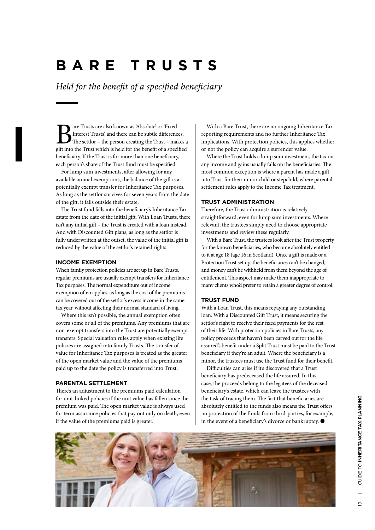# **BARE TRUSTS**

*Held for the benefit of a specified beneficiary*

**B**are Trusts are also known as 'Absolute' or 'Fixed Interest Trusts', and there can be subtle differences.<br>The settlor – the person creating the Trust – makes a gift into the Trust which is held for the benefit of a speci Interest Trusts', and there can be subtle differences. The settlor – the person creating the Trust – makes a beneficiary. If the Trust is for more than one beneficiary, each person's share of the Trust fund must be specified.

For lump sum investments, after allowing for any available annual exemptions, the balance of the gift is a potentially exempt transfer for Inheritance Tax purposes. As long as the settlor survives for seven years from the date of the gift, it falls outside their estate.

The Trust fund falls into the beneficiary's Inheritance Tax estate from the date of the initial gift. With Loan Trusts, there isn't any initial gift – the Trust is created with a loan instead. And with Discounted Gift plans, as long as the settlor is fully underwritten at the outset, the value of the initial gift is reduced by the value of the settlor's retained rights.

# **INCOME EXEMPTION**

When family protection policies are set up in Bare Trusts, regular premiums are usually exempt transfers for Inheritance Tax purposes. The normal expenditure out of income exemption often applies, as long as the cost of the premiums can be covered out of the settlor's excess income in the same tax year, without affecting their normal standard of living.

Where this isn't possible, the annual exemption often covers some or all of the premiums. Any premiums that are non-exempt transfers into the Trust are potentially exempt transfers. Special valuation rules apply when existing life policies are assigned into family Trusts. The transfer of value for Inheritance Tax purposes is treated as the greater of the open market value and the value of the premiums paid up to the date the policy is transferred into Trust.

#### **PARENTAL SETTLEMENT**

There's an adjustment to the premiums paid calculation for unit-linked policies if the unit value has fallen since the premium was paid. The open market value is always used for term assurance policies that pay out only on death, even if the value of the premiums paid is greater.

With a Bare Trust, there are no ongoing Inheritance Tax reporting requirements and no further Inheritance Tax implications. With protection policies, this applies whether or not the policy can acquire a surrender value.

Where the Trust holds a lump sum investment, the tax on any income and gains usually falls on the beneficiaries. The most common exception is where a parent has made a gift into Trust for their minor child or stepchild, where parental settlement rules apply to the Income Tax treatment.

#### **TRUST ADMINISTRATION**

Therefore, the Trust administration is relatively straightforward, even for lump sum investments. Where relevant, the trustees simply need to choose appropriate investments and review these regularly.

With a Bare Trust, the trustees look after the Trust property for the known beneficiaries, who become absolutely entitled to it at age 18 (age 16 in Scotland). Once a gift is made or a Protection Trust set up, the beneficiaries can't be changed, and money can't be withheld from them beyond the age of entitlement. This aspect may make them inappropriate to many clients who'd prefer to retain a greater degree of control.

# **TRUST FUND**

With a Loan Trust, this means repaying any outstanding loan. With a Discounted Gift Trust, it means securing the settlor's right to receive their fixed payments for the rest of their life. With protection policies in Bare Trusts, any policy proceeds that haven't been carved out for the life assured's benefit under a Split Trust must be paid to the Trust beneficiary if they're an adult. Where the beneficiary is a minor, the trustees must use the Trust fund for their benefit.

Difficulties can arise if it's discovered that a Trust beneficiary has predeceased the life assured. In this case, the proceeds belong to the legatees of the deceased beneficiary's estate, which can leave the trustees with the task of tracing them. The fact that beneficiaries are absolutely entitled to the funds also means the Trust offers no protection of the funds from third-parties, for example, in the event of a beneficiary's divorce or bankruptcy.  $\bullet$ 

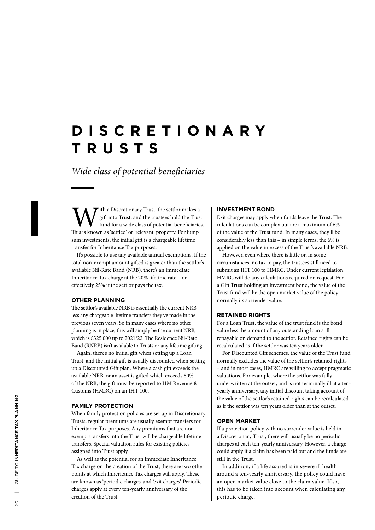# **D I S C R E T I O N A R Y TRUSTS**

*Wide class of potential beneficiaries*

**W** in a Discretionary Trust, the settlor makes a gift into Trust, and the trustees hold the Trus fund for a wide class of potential beneficiarie.<br>This is known as 'settled' or 'relevant' property. For lump gift into Trust, and the trustees hold the Trust fund for a wide class of potential beneficiaries. sum investments, the initial gift is a chargeable lifetime transfer for Inheritance Tax purposes.

It's possible to use any available annual exemptions. If the total non-exempt amount gifted is greater than the settlor's available Nil-Rate Band (NRB), there's an immediate Inheritance Tax charge at the 20% lifetime rate – or effectively 25% if the settlor pays the tax.

#### **OTHER PLANNING**

The settlor's available NRB is essentially the current NRB less any chargeable lifetime transfers they've made in the previous seven years. So in many cases where no other planning is in place, this will simply be the current NRB, which is £325,000 up to 2021/22. The Residence Nil-Rate Band (RNRB) isn't available to Trusts or any lifetime gifting.

Again, there's no initial gift when setting up a Loan Trust, and the initial gift is usually discounted when setting up a Discounted Gift plan. Where a cash gift exceeds the available NRB, or an asset is gifted which exceeds 80% of the NRB, the gift must be reported to HM Revenue & Customs (HMRC) on an IHT 100.

### **FAMILY PROTECTION**

When family protection policies are set up in Discretionary Trusts, regular premiums are usually exempt transfers for Inheritance Tax purposes. Any premiums that are nonexempt transfers into the Trust will be chargeable lifetime transfers. Special valuation rules for existing policies assigned into Trust apply.

As well as the potential for an immediate Inheritance Tax charge on the creation of the Trust, there are two other points at which Inheritance Tax charges will apply. These are known as 'periodic charges' and 'exit charges'. Periodic charges apply at every ten-yearly anniversary of the creation of the Trust.

#### **INVESTMENT BOND**

Exit charges may apply when funds leave the Trust. The calculations can be complex but are a maximum of 6% of the value of the Trust fund. In many cases, they'll be considerably less than this – in simple terms, the 6% is applied on the value in excess of the Trust's available NRB.

However, even where there is little or, in some circumstances, no tax to pay, the trustees still need to submit an IHT 100 to HMRC. Under current legislation, HMRC will do any calculations required on request. For a Gift Trust holding an investment bond, the value of the Trust fund will be the open market value of the policy – normally its surrender value.

#### **RETAINED RIGHTS**

For a Loan Trust, the value of the trust fund is the bond value less the amount of any outstanding loan still repayable on demand to the settlor. Retained rights can be recalculated as if the settlor was ten years older

For Discounted Gift schemes, the value of the Trust fund normally excludes the value of the settlor's retained rights – and in most cases, HMRC are willing to accept pragmatic valuations. For example, where the settlor was fully underwritten at the outset, and is not terminally ill at a tenyearly anniversary, any initial discount taking account of the value of the settlor's retained rights can be recalculated as if the settlor was ten years older than at the outset.

#### **OPEN MARKET**

If a protection policy with no surrender value is held in a Discretionary Trust, there will usually be no periodic charges at each ten-yearly anniversary. However, a charge could apply if a claim has been paid out and the funds are still in the Trust.

In addition, if a life assured is in severe ill health around a ten-yearly anniversary, the policy could have an open market value close to the claim value. If so, this has to be taken into account when calculating any periodic charge.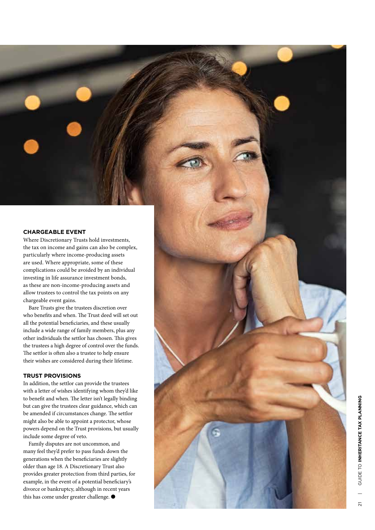# **CHARGEABLE EVENT**

Where Discretionary Trusts hold investments, the tax on income and gains can also be complex, particularly where income-producing assets are used. Where appropriate, some of these complications could be avoided by an individual investing in life assurance investment bonds, as these are non-income-producing assets and allow trustees to control the tax points on any chargeable event gains.

Bare Trusts give the trustees discretion over who benefits and when. The Trust deed will set out all the potential beneficiaries, and these usually include a wide range of family members, plus any other individuals the settlor has chosen. This gives the trustees a high degree of control over the funds. The settlor is often also a trustee to help ensure their wishes are considered during their lifetime.

# **TRUST PROVISIONS**

In addition, the settlor can provide the trustees with a letter of wishes identifying whom they'd like to benefit and when. The letter isn't legally binding but can give the trustees clear guidance, which can be amended if circumstances change. The settlor might also be able to appoint a protector, whose powers depend on the Trust provisions, but usually include some degree of veto.

Family disputes are not uncommon, and many feel they'd prefer to pass funds down the generations when the beneficiaries are slightly older than age 18. A Discretionary Trust also provides greater protection from third parties, for example, in the event of a potential beneficiary's divorce or bankruptcy, although in recent years this has come under greater challenge.  $\bullet$ 

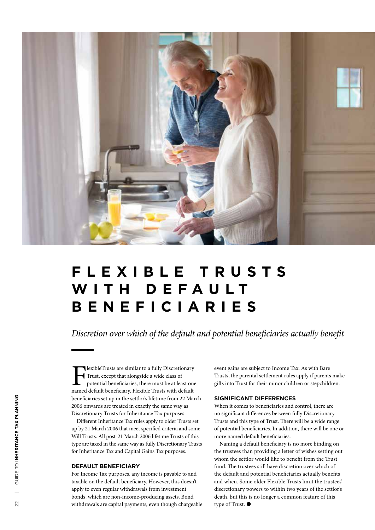

# **F L E X I B L E T R U S T S**  WITH DEFAULT **BENEFICIARIES**

*Discretion over which of the default and potential beneficiaries actually benefit*

**T**lexibleTrusts are similar to a fully Discretionary Trust, except that alongside a wide class of potential beneficiaries, there must be at least one named default beneficiary. Flexible Trusts with default beneficiaries set up in the settlor's lifetime from 22 March 2006 onwards are treated in exactly the same way as Discretionary Trusts for Inheritance Tax purposes.

Different Inheritance Tax rules apply to older Trusts set up by 21 March 2006 that meet specified criteria and some Will Trusts. All post-21 March 2006 lifetime Trusts of this type are taxed in the same way as fully Discretionary Trusts for Inheritance Tax and Capital Gains Tax purposes.

#### **DEFAULT BENEFICIARY**

For Income Tax purposes, any income is payable to and taxable on the default beneficiary. However, this doesn't apply to even regular withdrawals from investment bonds, which are non-income-producing assets. Bond withdrawals are capital payments, even though chargeable event gains are subject to Income Tax. As with Bare Trusts, the parental settlement rules apply if parents make gifts into Trust for their minor children or stepchildren.

## **SIGNIFICANT DIFFERENCES**

When it comes to beneficiaries and control, there are no significant differences between fully Discretionary Trusts and this type of Trust. There will be a wide range of potential beneficiaries. In addition, there will be one or more named default beneficiaries.

Naming a default beneficiary is no more binding on the trustees than providing a letter of wishes setting out whom the settlor would like to benefit from the Trust fund. The trustees still have discretion over which of the default and potential beneficiaries actually benefits and when. Some older Flexible Trusts limit the trustees' discretionary powers to within two years of the settlor's death, but this is no longer a common feature of this type of Trust.  $\bullet$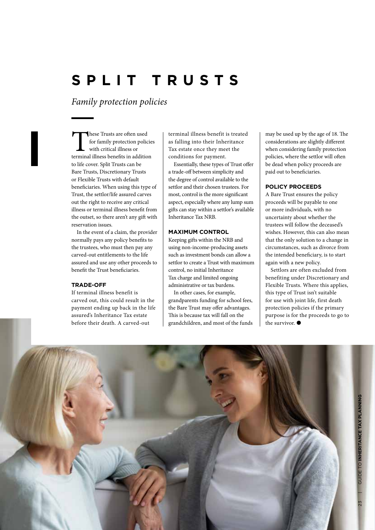# **SPLIT TRUSTS**

*Family protection policies*

These Trusts are often used<br>for family protection policie<br>with critical illness or<br>terminal illness benefits in addition for family protection policies with critical illness or to life cover. Split Trusts can be Bare Trusts, Discretionary Trusts or Flexible Trusts with default beneficiaries. When using this type of Trust, the settlor/life assured carves out the right to receive any critical illness or terminal illness benefit from the outset, so there aren't any gift with reservation issues.

In the event of a claim, the provider normally pays any policy benefits to the trustees, who must then pay any carved-out entitlements to the life assured and use any other proceeds to benefit the Trust beneficiaries.

# **TRADE-OFF**

If terminal illness benefit is carved out, this could result in the payment ending up back in the life assured's Inheritance Tax estate before their death. A carved-out

terminal illness benefit is treated as falling into their Inheritance Tax estate once they meet the conditions for payment.

Essentially, these types of Trust offer a trade-off between simplicity and the degree of control available to the settlor and their chosen trustees. For most, control is the more significant aspect, especially where any lump sum gifts can stay within a settlor's available Inheritance Tax NRB.

# **MAXIMUM CONTROL**

Keeping gifts within the NRB and using non-income-producing assets such as investment bonds can allow a settlor to create a Trust with maximum control, no initial Inheritance Tax charge and limited ongoing administrative or tax burdens.

In other cases, for example, grandparents funding for school fees, the Bare Trust may offer advantages. This is because tax will fall on the grandchildren, and most of the funds

may be used up by the age of 18. The considerations are slightly different when considering family protection policies, where the settlor will often be dead when policy proceeds are paid out to beneficiaries.

#### **POLICY PROCEEDS**

A Bare Trust ensures the policy proceeds will be payable to one or more individuals, with no uncertainty about whether the trustees will follow the deceased's wishes. However, this can also mean that the only solution to a change in circumstances, such as divorce from the intended beneficiary, is to start again with a new policy.

Settlors are often excluded from benefiting under Discretionary and Flexible Trusts. Where this applies, this type of Trust isn't suitable for use with joint life, first death protection policies if the primary purpose is for the proceeds to go to the survivor.  $\bullet$ 

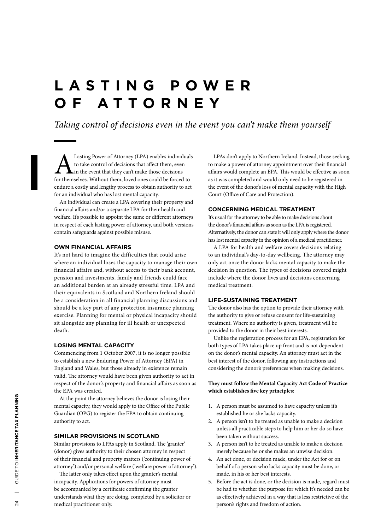# **L A S T I N G P O W E R OF ATTORNEY**

*Taking control of decisions even in the event you can't make them yourself*

Lasting Power of Attorney (LPA) enables individuals<br>to take control of decisions that affect them, even<br>for themselves. Without them, loved ones could be forced to to take control of decisions that affect them, even **L** in the event that they can't make those decisions endure a costly and lengthy process to obtain authority to act for an individual who has lost mental capacity.

An individual can create a LPA covering their property and financial affairs and/or a separate LPA for their health and welfare. It's possible to appoint the same or different attorneys in respect of each lasting power of attorney, and both versions contain safeguards against possible misuse.

#### **OWN FINANCIAL AFFAIRS**

It's not hard to imagine the difficulties that could arise where an individual loses the capacity to manage their own financial affairs and, without access to their bank account, pension and investments, family and friends could face an additional burden at an already stressful time. LPA and their equivalents in Scotland and Northern Ireland should be a consideration in all financial planning discussions and should be a key part of any protection insurance planning exercise. Planning for mental or physical incapacity should sit alongside any planning for ill health or unexpected death.

### **LOSING MENTAL CAPACITY**

Commencing from 1 October 2007, it is no longer possible to establish a new Enduring Power of Attorney (EPA) in England and Wales, but those already in existence remain valid. The attorney would have been given authority to act in respect of the donor's property and financial affairs as soon as the EPA was created.

At the point the attorney believes the donor is losing their mental capacity, they would apply to the Office of the Public Guardian (OPG) to register the EPA to obtain continuing authority to act.

### **SIMILAR PROVISIONS IN SCOTLAND**

Similar provisions to LPAs apply in Scotland. The 'granter' (donor) gives authority to their chosen attorney in respect of their financial and property matters ('continuing power of attorney') and/or personal welfare ('welfare power of attorney').

The latter only takes effect upon the granter's mental incapacity. Applications for powers of attorney must be accompanied by a certificate confirming the granter understands what they are doing, completed by a solicitor or medical practitioner only.

LPAs don't apply to Northern Ireland. Instead, those seeking to make a power of attorney appointment over their financial affairs would complete an EPA. This would be effective as soon as it was completed and would only need to be registered in the event of the donor's loss of mental capacity with the High Court (Office of Care and Protection).

#### **CONCERNING MEDICAL TREATMENT**

It's usual for the attorney to be able to make decisions about the donor's financial affairs as soon as the LPA is registered. Alternatively, the donor can state it will only apply where the donor has lost mental capacity in the opinion of a medical practitioner.

A LPA for health and welfare covers decisions relating to an individual's day-to-day wellbeing. The attorney may only act once the donor lacks mental capacity to make the decision in question. The types of decisions covered might include where the donor lives and decisions concerning medical treatment.

### **LIFE-SUSTAINING TREATMENT**

The donor also has the option to provide their attorney with the authority to give or refuse consent for life-sustaining treatment. Where no authority is given, treatment will be provided to the donor in their best interests.

Unlike the registration process for an EPA, registration for both types of LPA takes place up front and is not dependent on the donor's mental capacity. An attorney must act in the best interest of the donor, following any instructions and considering the donor's preferences when making decisions.

# **They must follow the Mental Capacity Act Code of Practice which establishes five key principles:**

- 1. A person must be assumed to have capacity unless it's established he or she lacks capacity.
- 2. A person isn't to be treated as unable to make a decision unless all practicable steps to help him or her do so have been taken without success.
- 3. A person isn't to be treated as unable to make a decision merely because he or she makes an unwise decision.
- 4. An act done, or decision made, under the Act for or on behalf of a person who lacks capacity must be done, or made, in his or her best interests.
- 5. Before the act is done, or the decision is made, regard must be had to whether the purpose for which it's needed can be as effectively achieved in a way that is less restrictive of the person's rights and freedom of action.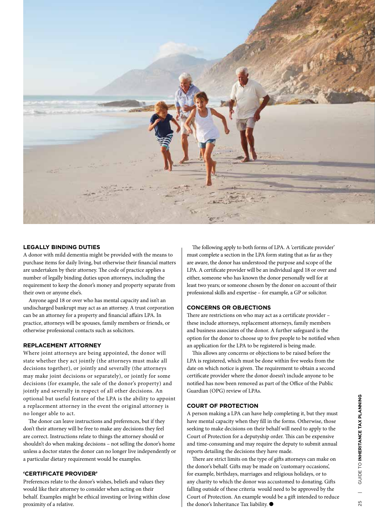

## **LEGALLY BINDING DUTIES**

A donor with mild dementia might be provided with the means to purchase items for daily living, but otherwise their financial matters are undertaken by their attorney. The code of practice applies a number of legally binding duties upon attorneys, including the requirement to keep the donor's money and property separate from their own or anyone else's.

Anyone aged 18 or over who has mental capacity and isn't an undischarged bankrupt may act as an attorney. A trust corporation can be an attorney for a property and financial affairs LPA. In practice, attorneys will be spouses, family members or friends, or otherwise professional contacts such as solicitors.

### **REPLACEMENT ATTORNEY**

Where joint attorneys are being appointed, the donor will state whether they act jointly (the attorneys must make all decisions together), or jointly and severally (the attorneys may make joint decisions or separately), or jointly for some decisions (for example, the sale of the donor's property) and jointly and severally in respect of all other decisions. An optional but useful feature of the LPA is the ability to appoint a replacement attorney in the event the original attorney is no longer able to act.

The donor can leave instructions and preferences, but if they don't their attorney will be free to make any decisions they feel are correct. Instructions relate to things the attorney should or shouldn't do when making decisions – not selling the donor's home unless a doctor states the donor can no longer live independently or a particular dietary requirement would be examples.

#### **'CERTIFICATE PROVIDER'**

Preferences relate to the donor's wishes, beliefs and values they would like their attorney to consider when acting on their behalf. Examples might be ethical investing or living within close proximity of a relative.

The following apply to both forms of LPA. A 'certificate provider' must complete a section in the LPA form stating that as far as they are aware, the donor has understood the purpose and scope of the LPA. A certificate provider will be an individual aged 18 or over and either, someone who has known the donor personally well for at least two years; or someone chosen by the donor on account of their professional skills and expertise – for example, a GP or solicitor.

#### **CONCERNS OR OBJECTIONS**

There are restrictions on who may act as a certificate provider – these include attorneys, replacement attorneys, family members and business associates of the donor. A further safeguard is the option for the donor to choose up to five people to be notified when an application for the LPA to be registered is being made.

This allows any concerns or objections to be raised before the LPA is registered, which must be done within five weeks from the date on which notice is given. The requirement to obtain a second certificate provider where the donor doesn't include anyone to be notified has now been removed as part of the Office of the Public Guardian (OPG) review of LPAs.

### **COURT OF PROTECTION**

A person making a LPA can have help completing it, but they must have mental capacity when they fill in the forms. Otherwise, those seeking to make decisions on their behalf will need to apply to the Court of Protection for a deputyship order. This can be expensive and time-consuming and may require the deputy to submit annual reports detailing the decisions they have made.

There are strict limits on the type of gifts attorneys can make on the donor's behalf. Gifts may be made on 'customary occasions', for example, birthdays, marriages and religious holidays, or to any charity to which the donor was accustomed to donating. Gifts falling outside of these criteria would need to be approved by the Court of Protection. An example would be a gift intended to reduce the donor's Inheritance Tax liability.  $\bullet$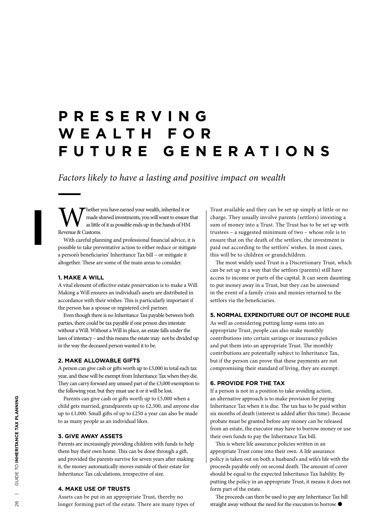# **P R E S E R V I N G W E A L T H F O R FUTURE GENERATIONS**

*Factors likely to have a lasting and positive impact on wealth*

The ther you have earned your wealth, inherited it or made shrewd investments, you will want to ensure that as little of it as possible ends up in the hands of HM Revenue & Customs.

With careful planning and professional financial advice, it is possible to take preventative action to either reduce or mitigate a person's beneficiaries' Inheritance Tax bill – or mitigate it altogether. These are some of the main areas to consider.

#### **1. MAKE A WILL**

A vital element of effective estate preservation is to make a Will. Making a Will ensures an individual's assets are distributed in accordance with their wishes. This is particularly important if the person has a spouse or registered civil partner.

Even though there is no Inheritance Tax payable between both parties, there could be tax payable if one person dies intestate without a Will. Without a Will in place, an estate falls under the laws of intestacy – and this means the estate may not be divided up in the way the deceased person wanted it to be.

#### **2. MAKE ALLOWABLE GIFTS**

A person can give cash or gifts worth up to £3,000 in total each tax year, and these will be exempt from Inheritance Tax when they die. They can carry forward any unused part of the £3,000 exemption to the following year, but they must use it or it will be lost.

Parents can give cash or gifts worth up to £5,000 when a child gets married, grandparents up to £2,500, and anyone else up to £1,000. Small gifts of up to £250 a year can also be made to as many people as an individual likes.

### **3. GIVE AWAY ASSETS**

Parents are increasingly providing children with funds to help them buy their own home. This can be done through a gift, and provided the parents survive for seven years after making it, the money automatically moves outside of their estate for Inheritance Tax calculations, irrespective of size.

### **4. MAKE USE OF TRUSTS**

Assets can be put in an appropriate Trust, thereby no longer forming part of the estate. There are many types of Trust available and they can be set up simply at little or no charge. They usually involve parents (settlors) investing a sum of money into a Trust. The Trust has to be set up with trustees – a suggested minimum of two – whose role is to ensure that on the death of the settlors, the investment is paid out according to the settlors' wishes. In most cases, this will be to children or grandchildren.

The most widely used Trust is a Discretionary Trust, which can be set up in a way that the settlors (parents) still have access to income or parts of the capital. It can seem daunting to put money away in a Trust, but they can be unwound in the event of a family crisis and monies returned to the settlors via the beneficiaries.

# **5. NORMAL EXPENDITURE OUT OF INCOME RULE**

As well as considering putting lump sums into an appropriate Trust, people can also make monthly contributions into certain savings or insurance policies and put them into an appropriate Trust. The monthly contributions are potentially subject to Inheritance Tax, but if the person can prove that these payments are not compromising their standard of living, they are exempt.

#### **6. PROVIDE FOR THE TAX**

If a person is not in a position to take avoiding action, an alternative approach is to make provision for paying Inheritance Tax when it is due. The tax has to be paid within six months of death (interest is added after this time). Because probate must be granted before any money can be released from an estate, the executor may have to borrow money or use their own funds to pay the Inheritance Tax bill.

This is where life assurance policies written in an appropriate Trust come into their own. A life assurance policy is taken out on both a husband's and wife's life with the proceeds payable only on second death. The amount of cover should be equal to the expected Inheritance Tax liability. By putting the policy in an appropriate Trust, it means it does not form part of the estate.

The proceeds can then be used to pay any Inheritance Tax bill straight away without the need for the executors to borrow.  $\bullet$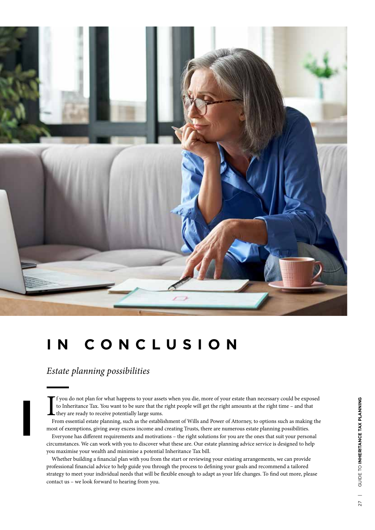

# **IN CONCLUSION**

# *Estate planning possibilities*

If you do not plan for what happens to your assets when you die, more of your estate than necessary could be exposed to Inheritance Tax. You want to be sure that the right people will get the right amounts at the right tim f you do not plan for what happens to your assets when you die, more of your estate than necessary could be exposed to Inheritance Tax. You want to be sure that the right people will get the right amounts at the right time – and that they are ready to receive potentially large sums.

most of exemptions, giving away excess income and creating Trusts, there are numerous estate planning possibilities.

Everyone has different requirements and motivations – the right solutions for you are the ones that suit your personal circumstances. We can work with you to discover what these are. Our estate planning advice service is designed to help you maximise your wealth and minimise a potential Inheritance Tax bill.

Whether building a financial plan with you from the start or reviewing your existing arrangements, we can provide professional financial advice to help guide you through the process to defining your goals and recommend a tailored strategy to meet your individual needs that will be flexible enough to adapt as your life changes. To find out more, please contact us – we look forward to hearing from you.